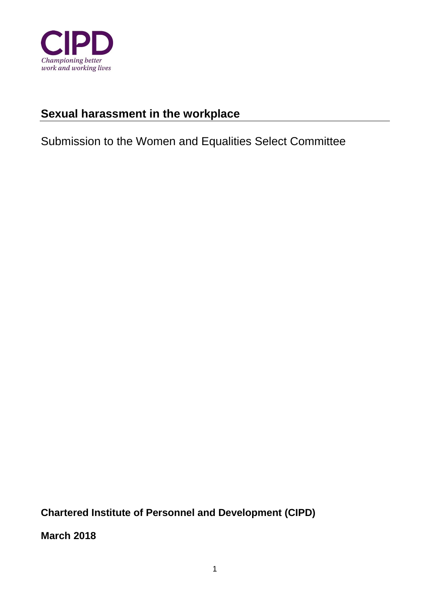

# **Sexual harassment in the workplace**

Submission to the Women and Equalities Select Committee

**Chartered Institute of Personnel and Development (CIPD)** 

**March 2018**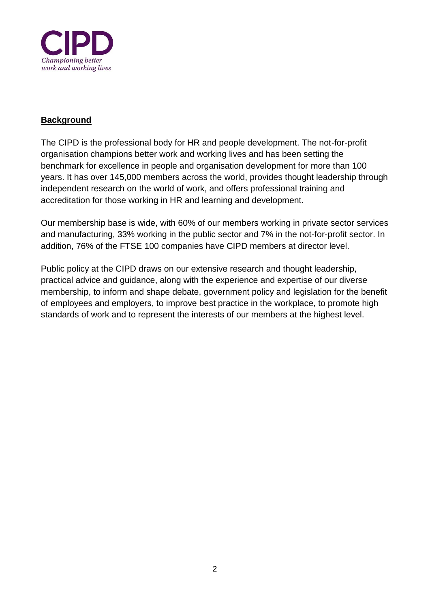

### **Background**

The CIPD is the professional body for HR and people development. The not-for-profit organisation champions better work and working lives and has been setting the benchmark for excellence in people and organisation development for more than 100 years. It has over 145,000 members across the world, provides thought leadership through independent research on the world of work, and offers professional training and accreditation for those working in HR and learning and development.

Our membership base is wide, with 60% of our members working in private sector services and manufacturing, 33% working in the public sector and 7% in the not-for-profit sector. In addition, 76% of the FTSE 100 companies have CIPD members at director level.

Public policy at the CIPD draws on our extensive research and thought leadership, practical advice and guidance, along with the experience and expertise of our diverse membership, to inform and shape debate, government policy and legislation for the benefit of employees and employers, to improve best practice in the workplace, to promote high standards of work and to represent the interests of our members at the highest level.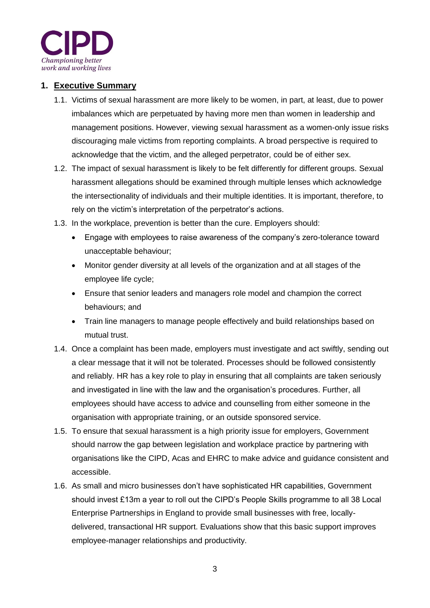

### **1. Executive Summary**

- 1.1. Victims of sexual harassment are more likely to be women, in part, at least, due to power imbalances which are perpetuated by having more men than women in leadership and management positions. However, viewing sexual harassment as a women-only issue risks discouraging male victims from reporting complaints. A broad perspective is required to acknowledge that the victim, and the alleged perpetrator, could be of either sex.
- 1.2. The impact of sexual harassment is likely to be felt differently for different groups. Sexual harassment allegations should be examined through multiple lenses which acknowledge the intersectionality of individuals and their multiple identities. It is important, therefore, to rely on the victim's interpretation of the perpetrator's actions.
- 1.3. In the workplace, prevention is better than the cure. Employers should:
	- Engage with employees to raise awareness of the company's zero-tolerance toward unacceptable behaviour;
	- Monitor gender diversity at all levels of the organization and at all stages of the employee life cycle;
	- Ensure that senior leaders and managers role model and champion the correct behaviours; and
	- Train line managers to manage people effectively and build relationships based on mutual trust.
- 1.4. Once a complaint has been made, employers must investigate and act swiftly, sending out a clear message that it will not be tolerated. Processes should be followed consistently and reliably. HR has a key role to play in ensuring that all complaints are taken seriously and investigated in line with the law and the organisation's procedures. Further, all employees should have access to advice and counselling from either someone in the organisation with appropriate training, or an outside sponsored service.
- 1.5. To ensure that sexual harassment is a high priority issue for employers, Government should narrow the gap between legislation and workplace practice by partnering with organisations like the CIPD, Acas and EHRC to make advice and guidance consistent and accessible.
- 1.6. As small and micro businesses don't have sophisticated HR capabilities, Government should invest £13m a year to roll out the CIPD's People Skills programme to all 38 Local Enterprise Partnerships in England to provide small businesses with free, locallydelivered, transactional HR support. Evaluations show that this basic support improves employee-manager relationships and productivity.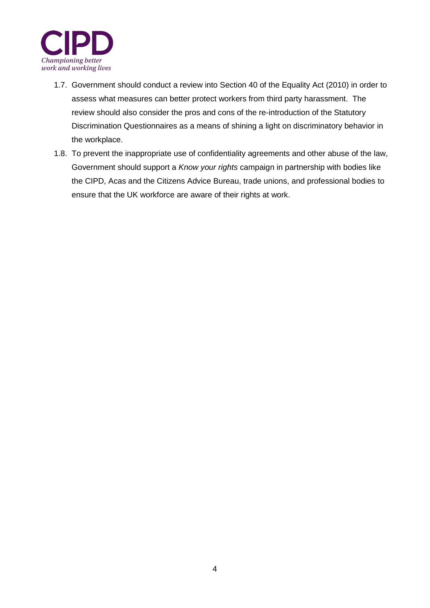

- 1.7. Government should conduct a review into Section 40 of the Equality Act (2010) in order to assess what measures can better protect workers from third party harassment. The review should also consider the pros and cons of the re-introduction of the Statutory Discrimination Questionnaires as a means of shining a light on discriminatory behavior in the workplace.
- 1.8. To prevent the inappropriate use of confidentiality agreements and other abuse of the law, Government should support a *Know your rights* campaign in partnership with bodies like the CIPD, Acas and the Citizens Advice Bureau, trade unions, and professional bodies to ensure that the UK workforce are aware of their rights at work.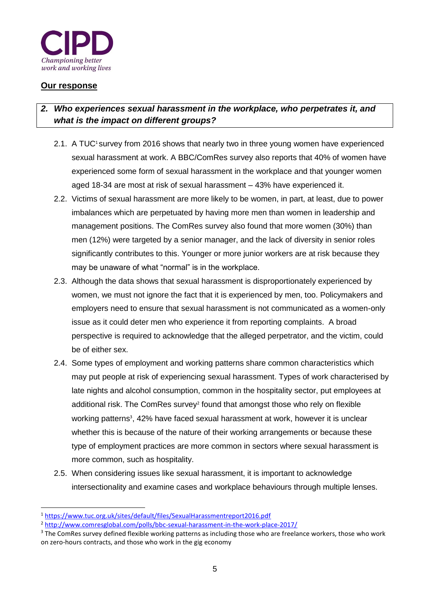

### **Our response**

-

# *2. Who experiences sexual harassment in the workplace, who perpetrates it, and what is the impact on different groups?*

- 2.1. A TUC<sup>1</sup> survey from 2016 shows that nearly two in three young women have experienced sexual harassment at work. A BBC/ComRes survey also reports that 40% of women have experienced some form of sexual harassment in the workplace and that younger women aged 18-34 are most at risk of sexual harassment – 43% have experienced it.
- 2.2. Victims of sexual harassment are more likely to be women, in part, at least, due to power imbalances which are perpetuated by having more men than women in leadership and management positions. The ComRes survey also found that more women (30%) than men (12%) were targeted by a senior manager, and the lack of diversity in senior roles significantly contributes to this. Younger or more junior workers are at risk because they may be unaware of what "normal" is in the workplace.
- 2.3. Although the data shows that sexual harassment is disproportionately experienced by women, we must not ignore the fact that it is experienced by men, too. Policymakers and employers need to ensure that sexual harassment is not communicated as a women-only issue as it could deter men who experience it from reporting complaints. A broad perspective is required to acknowledge that the alleged perpetrator, and the victim, could be of either sex.
- 2.4. Some types of employment and working patterns share common characteristics which may put people at risk of experiencing sexual harassment. Types of work characterised by late nights and alcohol consumption, common in the hospitality sector, put employees at additional risk. The ComRes survey<sup>2</sup> found that amongst those who rely on flexible working patterns<sup>3</sup>, 42% have faced sexual harassment at work, however it is unclear whether this is because of the nature of their working arrangements or because these type of employment practices are more common in sectors where sexual harassment is more common, such as hospitality.
- 2.5. When considering issues like sexual harassment, it is important to acknowledge intersectionality and examine cases and workplace behaviours through multiple lenses.

<sup>1</sup> <https://www.tuc.org.uk/sites/default/files/SexualHarassmentreport2016.pdf>

<sup>2</sup> <http://www.comresglobal.com/polls/bbc-sexual-harassment-in-the-work-place-2017/>

<sup>&</sup>lt;sup>3</sup> The ComRes survey defined flexible working patterns as including those who are freelance workers, those who work on zero-hours contracts, and those who work in the gig economy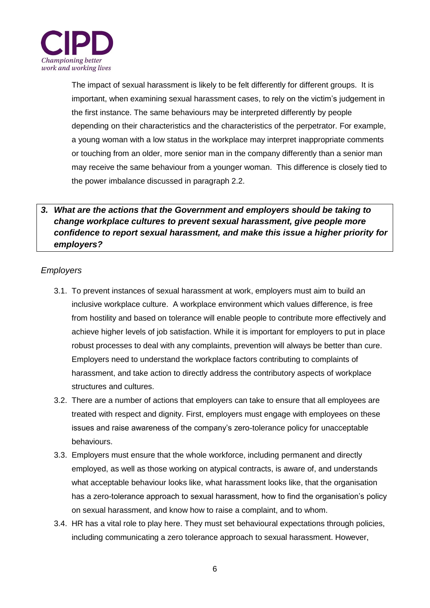

The impact of sexual harassment is likely to be felt differently for different groups. It is important, when examining sexual harassment cases, to rely on the victim's judgement in the first instance. The same behaviours may be interpreted differently by people depending on their characteristics and the characteristics of the perpetrator. For example, a young woman with a low status in the workplace may interpret inappropriate comments or touching from an older, more senior man in the company differently than a senior man may receive the same behaviour from a younger woman. This difference is closely tied to the power imbalance discussed in paragraph 2.2.

# *3. What are the actions that the Government and employers should be taking to change workplace cultures to prevent sexual harassment, give people more confidence to report sexual harassment, and make this issue a higher priority for employers?*

### *Employers*

- 3.1. To prevent instances of sexual harassment at work, employers must aim to build an inclusive workplace culture. A workplace environment which values difference, is free from hostility and based on tolerance will enable people to contribute more effectively and achieve higher levels of job satisfaction. While it is important for employers to put in place robust processes to deal with any complaints, prevention will always be better than cure. Employers need to understand the workplace factors contributing to complaints of harassment, and take action to directly address the contributory aspects of workplace structures and cultures.
- 3.2. There are a number of actions that employers can take to ensure that all employees are treated with respect and dignity. First, employers must engage with employees on these issues and raise awareness of the company's zero-tolerance policy for unacceptable behaviours.
- 3.3. Employers must ensure that the whole workforce, including permanent and directly employed, as well as those working on atypical contracts, is aware of, and understands what acceptable behaviour looks like, what harassment looks like, that the organisation has a zero-tolerance approach to sexual harassment, how to find the organisation's policy on sexual harassment, and know how to raise a complaint, and to whom.
- 3.4. HR has a vital role to play here. They must set behavioural expectations through policies, including communicating a zero tolerance approach to sexual harassment. However,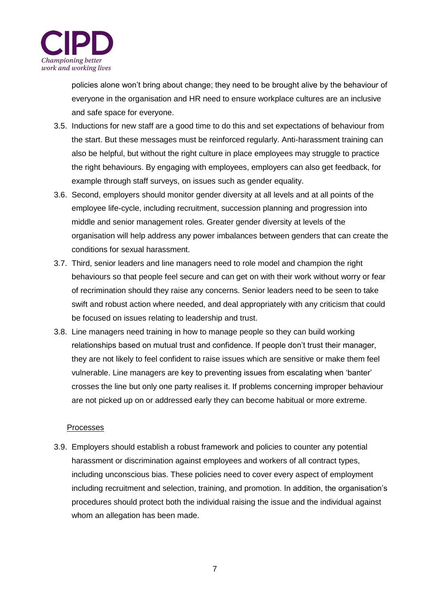

policies alone won't bring about change; they need to be brought alive by the behaviour of everyone in the organisation and HR need to ensure workplace cultures are an inclusive and safe space for everyone.

- 3.5. Inductions for new staff are a good time to do this and set expectations of behaviour from the start. But these messages must be reinforced regularly. Anti-harassment training can also be helpful, but without the right culture in place employees may struggle to practice the right behaviours. By engaging with employees, employers can also get feedback, for example through staff surveys, on issues such as gender equality.
- 3.6. Second, employers should monitor gender diversity at all levels and at all points of the employee life-cycle, including recruitment, succession planning and progression into middle and senior management roles. Greater gender diversity at levels of the organisation will help address any power imbalances between genders that can create the conditions for sexual harassment.
- 3.7. Third, senior leaders and line managers need to role model and champion the right behaviours so that people feel secure and can get on with their work without worry or fear of recrimination should they raise any concerns. Senior leaders need to be seen to take swift and robust action where needed, and deal appropriately with any criticism that could be focused on issues relating to leadership and trust.
- 3.8. Line managers need training in how to manage people so they can build working relationships based on mutual trust and confidence. If people don't trust their manager, they are not likely to feel confident to raise issues which are sensitive or make them feel vulnerable. Line managers are key to preventing issues from escalating when 'banter' crosses the line but only one party realises it. If problems concerning improper behaviour are not picked up on or addressed early they can become habitual or more extreme.

#### Processes

3.9. Employers should establish a robust framework and policies to counter any potential harassment or discrimination against employees and workers of all contract types, including unconscious bias. These policies need to cover every aspect of employment including recruitment and selection, training, and promotion. In addition, the organisation's procedures should protect both the individual raising the issue and the individual against whom an allegation has been made.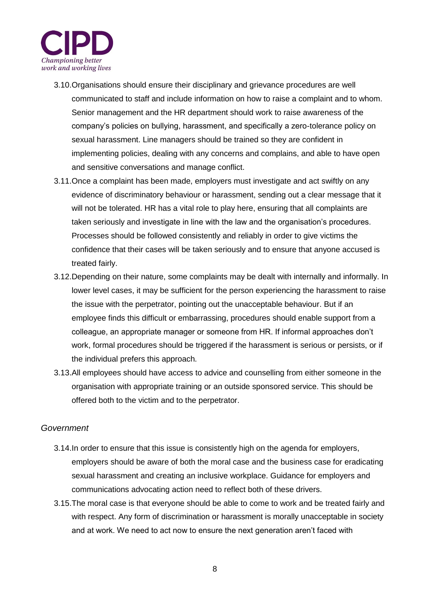

- 3.10.Organisations should ensure their disciplinary and grievance procedures are well communicated to staff and include information on how to raise a complaint and to whom. Senior management and the HR department should work to raise awareness of the company's policies on bullying, harassment, and specifically a zero-tolerance policy on sexual harassment. Line managers should be trained so they are confident in implementing policies, dealing with any concerns and complains, and able to have open and sensitive conversations and manage conflict.
- 3.11.Once a complaint has been made, employers must investigate and act swiftly on any evidence of discriminatory behaviour or harassment, sending out a clear message that it will not be tolerated. HR has a vital role to play here, ensuring that all complaints are taken seriously and investigate in line with the law and the organisation's procedures. Processes should be followed consistently and reliably in order to give victims the confidence that their cases will be taken seriously and to ensure that anyone accused is treated fairly.
- 3.12.Depending on their nature, some complaints may be dealt with internally and informally. In lower level cases, it may be sufficient for the person experiencing the harassment to raise the issue with the perpetrator, pointing out the unacceptable behaviour. But if an employee finds this difficult or embarrassing, procedures should enable support from a colleague, an appropriate manager or someone from HR. If informal approaches don't work, formal procedures should be triggered if the harassment is serious or persists, or if the individual prefers this approach.
- 3.13.All employees should have access to advice and counselling from either someone in the organisation with appropriate training or an outside sponsored service. This should be offered both to the victim and to the perpetrator.

### *Government*

- 3.14.In order to ensure that this issue is consistently high on the agenda for employers, employers should be aware of both the moral case and the business case for eradicating sexual harassment and creating an inclusive workplace. Guidance for employers and communications advocating action need to reflect both of these drivers.
- 3.15.The moral case is that everyone should be able to come to work and be treated fairly and with respect. Any form of discrimination or harassment is morally unacceptable in society and at work. We need to act now to ensure the next generation aren't faced with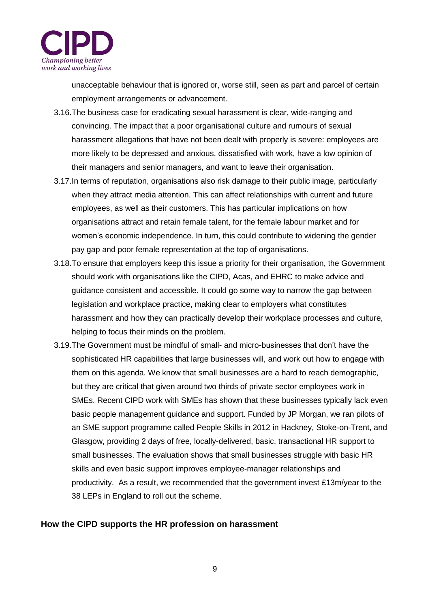

unacceptable behaviour that is ignored or, worse still, seen as part and parcel of certain employment arrangements or advancement.

- 3.16.The business case for eradicating sexual harassment is clear, wide-ranging and convincing. The impact that a poor organisational culture and rumours of sexual harassment allegations that have not been dealt with properly is severe: employees are more likely to be depressed and anxious, dissatisfied with work, have a low opinion of their managers and senior managers, and want to leave their organisation.
- 3.17.In terms of reputation, organisations also risk damage to their public image, particularly when they attract media attention. This can affect relationships with current and future employees, as well as their customers. This has particular implications on how organisations attract and retain female talent, for the female labour market and for women's economic independence. In turn, this could contribute to widening the gender pay gap and poor female representation at the top of organisations.
- 3.18.To ensure that employers keep this issue a priority for their organisation, the Government should work with organisations like the CIPD, Acas, and EHRC to make advice and guidance consistent and accessible. It could go some way to narrow the gap between legislation and workplace practice, making clear to employers what constitutes harassment and how they can practically develop their workplace processes and culture, helping to focus their minds on the problem.
- 3.19.The Government must be mindful of small- and micro-businesses that don't have the sophisticated HR capabilities that large businesses will, and work out how to engage with them on this agenda. We know that small businesses are a hard to reach demographic, but they are critical that given around two thirds of private sector employees work in SMEs. Recent CIPD work with SMEs has shown that these businesses typically lack even basic people management guidance and support. Funded by JP Morgan, we ran pilots of an SME support programme called People Skills in 2012 in Hackney, Stoke-on-Trent, and Glasgow, providing 2 days of free, locally-delivered, basic, transactional HR support to small businesses. The evaluation shows that small businesses struggle with basic HR skills and even basic support improves employee-manager relationships and productivity. As a result, we recommended that the government invest £13m/year to the 38 LEPs in England to roll out the scheme.

### **How the CIPD supports the HR profession on harassment**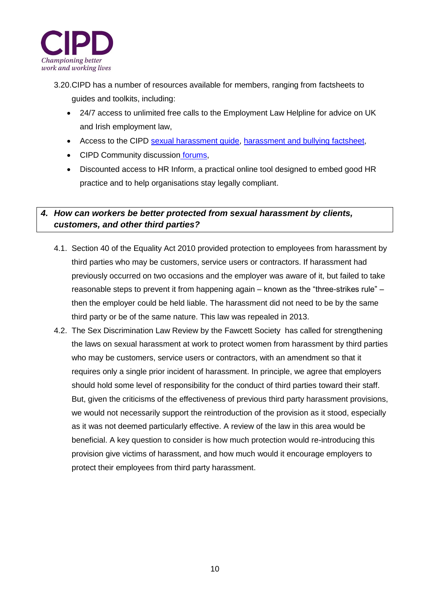

- 3.20.CIPD has a number of resources available for members, ranging from factsheets to guides and toolkits, including:
	- 24/7 access to unlimited free calls to the Employment Law Helpline for advice on UK and Irish employment law,
	- Access to the CIPD sexual harassment quide, [harassment and bullying factsheet,](https://www.cipd.co.uk/knowledge/fundamentals/emp-law/harassment/factsheet)
	- CIPD Community discussion [forums,](http://www2.cipd.co.uk/community/tags/Sexual%2bharassment)
	- Discounted access to HR Inform, a practical online tool designed to embed good HR practice and to help organisations stay legally compliant.

# *4. How can workers be better protected from sexual harassment by clients, customers, and other third parties?*

- 4.1. Section 40 of the Equality Act 2010 provided protection to employees from harassment by third parties who may be customers, service users or contractors. If harassment had previously occurred on two occasions and the employer was aware of it, but failed to take reasonable steps to prevent it from happening again – known as the "three-strikes rule" – then the employer could be held liable. The harassment did not need to be by the same third party or be of the same nature. This law was repealed in 2013.
- 4.2. The Sex Discrimination Law Review by the Fawcett Society has called for strengthening the laws on sexual harassment at work to protect women from harassment by third parties who may be customers, service users or contractors, with an amendment so that it requires only a single prior incident of harassment. In principle, we agree that employers should hold some level of responsibility for the conduct of third parties toward their staff. But, given the criticisms of the effectiveness of previous third party harassment provisions, we would not necessarily support the reintroduction of the provision as it stood, especially as it was not deemed particularly effective. A review of the law in this area would be beneficial. A key question to consider is how much protection would re-introducing this provision give victims of harassment, and how much would it encourage employers to protect their employees from third party harassment.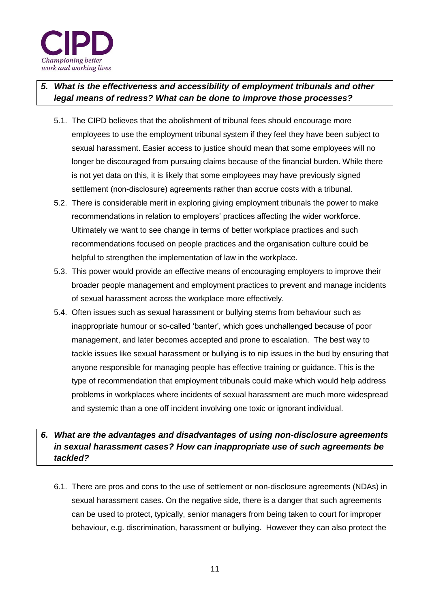

# *5. What is the effectiveness and accessibility of employment tribunals and other legal means of redress? What can be done to improve those processes?*

- 5.1. The CIPD believes that the abolishment of tribunal fees should encourage more employees to use the employment tribunal system if they feel they have been subject to sexual harassment. Easier access to justice should mean that some employees will no longer be discouraged from pursuing claims because of the financial burden. While there is not yet data on this, it is likely that some employees may have previously signed settlement (non-disclosure) agreements rather than accrue costs with a tribunal.
- 5.2. There is considerable merit in exploring giving employment tribunals the power to make recommendations in relation to employers' practices affecting the wider workforce. Ultimately we want to see change in terms of better workplace practices and such recommendations focused on people practices and the organisation culture could be helpful to strengthen the implementation of law in the workplace.
- 5.3. This power would provide an effective means of encouraging employers to improve their broader people management and employment practices to prevent and manage incidents of sexual harassment across the workplace more effectively.
- 5.4. Often issues such as sexual harassment or bullying stems from behaviour such as inappropriate humour or so-called 'banter', which goes unchallenged because of poor management, and later becomes accepted and prone to escalation. The best way to tackle issues like sexual harassment or bullying is to nip issues in the bud by ensuring that anyone responsible for managing people has effective training or guidance. This is the type of recommendation that employment tribunals could make which would help address problems in workplaces where incidents of sexual harassment are much more widespread and systemic than a one off incident involving one toxic or ignorant individual.

# *6. What are the advantages and disadvantages of using non-disclosure agreements in sexual harassment cases? How can inappropriate use of such agreements be tackled?*

6.1. There are pros and cons to the use of settlement or non-disclosure agreements (NDAs) in sexual harassment cases. On the negative side, there is a danger that such agreements can be used to protect, typically, senior managers from being taken to court for improper behaviour, e.g. discrimination, harassment or bullying. However they can also protect the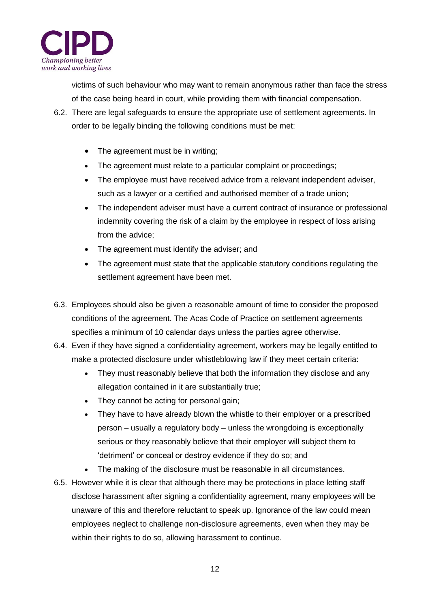

victims of such behaviour who may want to remain anonymous rather than face the stress of the case being heard in court, while providing them with financial compensation.

- 6.2. There are legal safeguards to ensure the appropriate use of settlement agreements. In order to be legally binding the following conditions must be met:
	- The agreement must be in writing;
	- The agreement must relate to a particular complaint or proceedings;
	- The employee must have received advice from a relevant independent adviser, such as a lawyer or a certified and authorised member of a trade union;
	- The independent adviser must have a current contract of insurance or professional indemnity covering the risk of a claim by the employee in respect of loss arising from the advice;
	- The agreement must identify the adviser; and
	- The agreement must state that the applicable statutory conditions regulating the settlement agreement have been met.
- 6.3. Employees should also be given a reasonable amount of time to consider the proposed conditions of the agreement. The Acas Code of Practice on settlement agreements specifies a minimum of 10 calendar days unless the parties agree otherwise.
- 6.4. Even if they have signed a confidentiality agreement, workers may be legally entitled to make a protected disclosure under whistleblowing law if they meet certain criteria:
	- They must reasonably believe that both the information they disclose and any allegation contained in it are substantially true;
	- They cannot be acting for personal gain;
	- They have to have already blown the whistle to their employer or a prescribed person – usually a regulatory body – unless the wrongdoing is exceptionally serious or they reasonably believe that their employer will subject them to 'detriment' or conceal or destroy evidence if they do so; and
	- The making of the disclosure must be reasonable in all circumstances.
- 6.5. However while it is clear that although there may be protections in place letting staff disclose harassment after signing a confidentiality agreement, many employees will be unaware of this and therefore reluctant to speak up. Ignorance of the law could mean employees neglect to challenge non-disclosure agreements, even when they may be within their rights to do so, allowing harassment to continue.